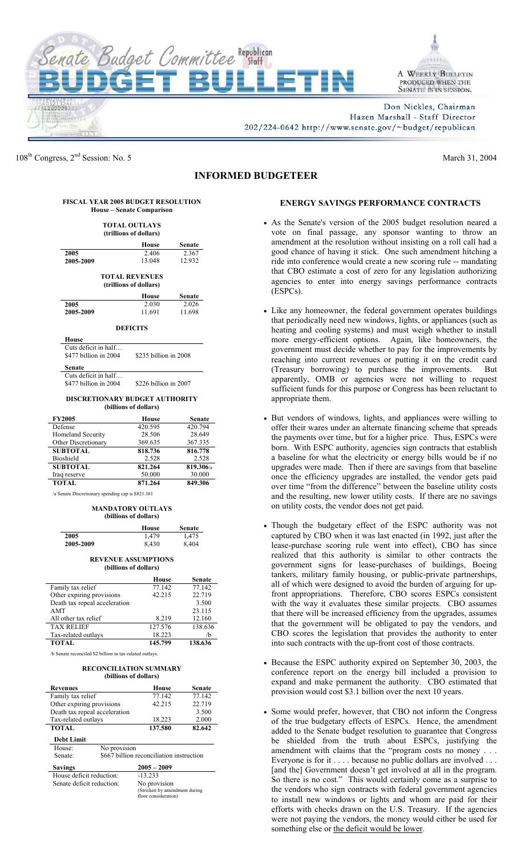



Don Nickles, Chairman Hazen Marshall - Staff Director 202/224-0642 http://www.senate.gov/~budget/republican

108<sup>th</sup> Congress,  $2<sup>nd</sup>$  Session: No. 5 March 31, 2004

# **INFORMED BUDGETEER**

| <b>FISCAL YEAR 2005 BUDGET RESOLUTION</b> |
|-------------------------------------------|
| House – Senate Comparison                 |

| TOTAL OUTLAYS<br>(trillions of dollars)                                   |                       |        |  |
|---------------------------------------------------------------------------|-----------------------|--------|--|
|                                                                           | House                 | Senate |  |
| 2005                                                                      | 2.406                 | 2.367  |  |
| 2005-2009                                                                 | 13.048                | 12.932 |  |
| <b>TOTAL REVENUES</b><br>(trillions of dollars)<br>House<br><b>Senate</b> |                       |        |  |
| 2005                                                                      | 2.030                 | 2.026  |  |
| 2005-2009                                                                 | 11.691                | 11.698 |  |
| <b>DEFICITS</b><br>House                                                  |                       |        |  |
| Cuts deficit in half                                                      |                       |        |  |
| \$477 billion in 2004                                                     | \$235 billion in 2008 |        |  |

**Senate**  Cuts deficit in half...<br>\$477 billion in 2004

\$226 billion in 2007

#### **DISCRETIONARY BUDGET AUTHORITY (billions of dollars)**

| <b>FY2005</b>       | House   | <b>Senate</b> |
|---------------------|---------|---------------|
| Defense             | 420.595 | 420.794       |
| Homeland Security   | 28.506  | 28.649        |
| Other Discretionary | 369.635 | 367.335       |
| <b>SUBTOTAL</b>     | 818.736 | 816.778       |
| Bioshield           | 2.528   | 2.528         |
| <b>SUBTOTAL</b>     | 821.264 | 819.306/a     |
| Iraq reserve        | 50.000  | 30.000        |
| <b>TOTAL</b>        | 871.264 | 849.306       |

 /a Senate Discretionary spending cap is \$821.161

#### **MANDATORY OUTLAYS (billions of dollars)**

|           | House | <b>Senate</b> |
|-----------|-------|---------------|
| 2005      | 1.479 | 1,475         |
| 2005-2009 | 8.430 | 8,404         |

## **REVENUE ASSUMPTIONS (billions of dollars)**

|                               | House   | <b>Senate</b> |
|-------------------------------|---------|---------------|
| Family tax relief             | 77.142  | 77.142        |
| Other expiring provisions     | 42.215  | 22.719        |
| Death tax repeal acceleration |         | 3.500         |
| <b>AMT</b>                    |         | 23.115        |
| All other tax relief          | 8.219   | 12.160        |
| <b>TAX RELIEF</b>             | 127.576 | 138.636       |
| Tax-related outlays           | 18.223  | /b            |
| <b>TOTAL</b>                  | 145.799 | 138.636       |

/b Senate reconciled \$2 billion in tax-related outlays.

#### **RECONCILIATION SUMMARY (billions of dollars)**

| <b>Revenues</b>               | House                                                                 | Senate |  |
|-------------------------------|-----------------------------------------------------------------------|--------|--|
| Family tax relief             | 77.142                                                                | 77.142 |  |
| Other expiring provisions     | 42.215                                                                | 22.719 |  |
| Death tax repeal acceleration |                                                                       | 3.500  |  |
| Tax-related outlays           | 18.223                                                                | 2.000  |  |
| <b>TOTAL</b>                  | 137.580                                                               | 82.642 |  |
| <b>Debt Limit</b>             |                                                                       |        |  |
| No provision<br>House:        |                                                                       |        |  |
| Senate:                       | \$667 billion reconciliation instruction                              |        |  |
| <b>Savings</b>                | $2005 - 2009$                                                         |        |  |
| House deficit reduction:      | $-13.233$                                                             |        |  |
| Senate deficit reduction:     | No provision<br>(Stricken by amendment during<br>floor consideration) |        |  |

## **ENERGY SAVINGS PERFORMANCE CONTRACTS**

- As the Senate's version of the 2005 budget resolution neared a vote on final passage, any sponsor wanting to throw an amendment at the resolution without insisting on a roll call had a good chance of having it stick. One such amendment hitching a ride into conference would create a new scoring rule -- mandating that CBO estimate a cost of zero for any legislation authorizing agencies to enter into energy savings performance contracts (ESPCs).
- Like any homeowner, the federal government operates buildings that periodically need new windows, lights, or appliances (such as heating and cooling systems) and must weigh whether to install more energy-efficient options. Again, like homeowners, the government must decide whether to pay for the improvements by reaching into current revenues or putting it on the credit card (Treasury borrowing) to purchase the improvements. But apparently, OMB or agencies were not willing to request sufficient funds for this purpose or Congress has been reluctant to appropriate them.
- But vendors of windows, lights, and appliances were willing to offer their wares under an alternate financing scheme that spreads the payments over time, but for a higher price. Thus, ESPCs were born. With ESPC authority, agencies sign contracts that establish a baseline for what the electricity or energy bills would be if no upgrades were made. Then if there are savings from that baseline once the efficiency upgrades are installed, the vendor gets paid over time "from the difference" between the baseline utility costs and the resulting, new lower utility costs. If there are no savings on utility costs, the vendor does not get paid.
- Though the budgetary effect of the ESPC authority was not captured by CBO when it was last enacted (in 1992, just after the lease-purchase scoring rule went into effect), CBO has since realized that this authority is similar to other contracts the government signs for lease-purchases of buildings, Boeing tankers, military family housing, or public-private partnerships, all of which were designed to avoid the burden of arguing for upfront appropriations. Therefore, CBO scores ESPCs consistent with the way it evaluates these similar projects. CBO assumes that there will be increased efficiency from the upgrades, assumes that the government will be obligated to pay the vendors, and CBO scores the legislation that provides the authority to enter into such contracts with the up-front cost of those contracts.
- Because the ESPC authority expired on September 30, 2003, the conference report on the energy bill included a provision to expand and make permanent the authority. CBO estimated that provision would cost \$3.1 billion over the next 10 years.
- Some would prefer, however, that CBO not inform the Congress of the true budgetary effects of ESPCs. Hence, the amendment added to the Senate budget resolution to guarantee that Congress be shielded from the truth about ESPCs, justifying the amendment with claims that the "program costs no money . . . Everyone is for it . . . . because no public dollars are involved . . . [and the] Government doesn't get involved at all in the program. So there is no cost." This would certainly come as a surprise to the vendors who sign contracts with federal government agencies to install new windows or lights and whom are paid for their efforts with checks drawn on the U.S. Treasury. If the agencies were not paying the vendors, the money would either be used for something else or the deficit would be lower.